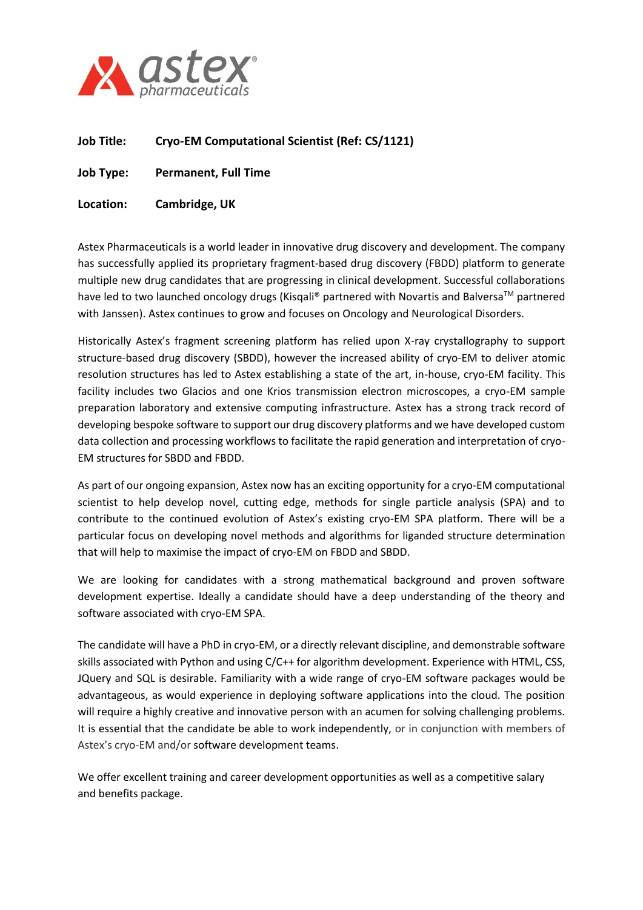

- **Job Title: Cryo-EM Computational Scientist (Ref: CS/1121)**
- **Job Type: Permanent, Full Time**
- **Location: Cambridge, UK**

Astex Pharmaceuticals is a world leader in innovative drug discovery and development. The company has successfully applied its proprietary fragment-based drug discovery (FBDD) platform to generate multiple new drug candidates that are progressing in clinical development. Successful collaborations have led to two launched oncology drugs (Kisqali® partnered with Novartis and Balversa<sup>TM</sup> partnered with Janssen). Astex continues to grow and focuses on Oncology and Neurological Disorders.

Historically Astex's fragment screening platform has relied upon X-ray crystallography to support structure-based drug discovery (SBDD), however the increased ability of cryo-EM to deliver atomic resolution structures has led to Astex establishing a state of the art, in-house, cryo-EM facility. This facility includes two Glacios and one Krios transmission electron microscopes, a cryo-EM sample preparation laboratory and extensive computing infrastructure. Astex has a strong track record of developing bespoke software to support our drug discovery platforms and we have developed custom data collection and processing workflows to facilitate the rapid generation and interpretation of cryo-EM structures for SBDD and FBDD.

As part of our ongoing expansion, Astex now has an exciting opportunity for a cryo-EM computational scientist to help develop novel, cutting edge, methods for single particle analysis (SPA) and to contribute to the continued evolution of Astex's existing cryo-EM SPA platform. There will be a particular focus on developing novel methods and algorithms for liganded structure determination that will help to maximise the impact of cryo-EM on FBDD and SBDD.

We are looking for candidates with a strong mathematical background and proven software development expertise. Ideally a candidate should have a deep understanding of the theory and software associated with cryo-EM SPA.

The candidate will have a PhD in cryo-EM, or a directly relevant discipline, and demonstrable software skills associated with Python and using C/C++ for algorithm development. Experience with HTML, CSS, JQuery and SQL is desirable. Familiarity with a wide range of cryo-EM software packages would be advantageous, as would experience in deploying software applications into the cloud. The position will require a highly creative and innovative person with an acumen for solving challenging problems. It is essential that the candidate be able to work independently, or in conjunction with members of Astex's cryo-EM and/or software development teams.

We offer excellent training and career development opportunities as well as a competitive salary and benefits package.